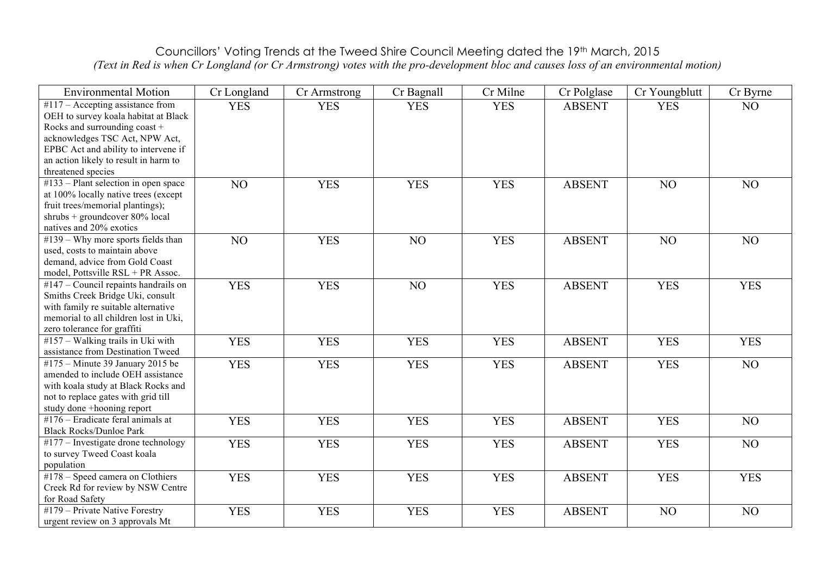## Councillors' Voting Trends at the Tweed Shire Council Meeting dated the 19th March, 2015 *(Text in Red is when Cr Longland (or Cr Armstrong) votes with the pro-development bloc and causes loss of an environmental motion)*

| <b>Environmental Motion</b>                                                     | Cr Longland | Cr Armstrong | Cr Bagnall | Cr Milne   | Cr Polglase   | Cr Youngblutt | Cr Byrne       |
|---------------------------------------------------------------------------------|-------------|--------------|------------|------------|---------------|---------------|----------------|
| $#117$ – Accepting assistance from                                              | <b>YES</b>  | <b>YES</b>   | <b>YES</b> | <b>YES</b> | <b>ABSENT</b> | <b>YES</b>    | NO             |
| OEH to survey koala habitat at Black                                            |             |              |            |            |               |               |                |
| Rocks and surrounding coast +                                                   |             |              |            |            |               |               |                |
| acknowledges TSC Act, NPW Act,                                                  |             |              |            |            |               |               |                |
| EPBC Act and ability to intervene if                                            |             |              |            |            |               |               |                |
| an action likely to result in harm to<br>threatened species                     |             |              |            |            |               |               |                |
| $#133$ – Plant selection in open space                                          | NO          | <b>YES</b>   | <b>YES</b> | <b>YES</b> |               |               |                |
| at 100% locally native trees (except                                            |             |              |            |            | <b>ABSENT</b> | NO            | NO             |
| fruit trees/memorial plantings);                                                |             |              |            |            |               |               |                |
| shrubs + groundcover 80% local                                                  |             |              |            |            |               |               |                |
| natives and 20% exotics                                                         |             |              |            |            |               |               |                |
| $#139 - Why$ more sports fields than                                            | NO          | <b>YES</b>   | NO         | <b>YES</b> | <b>ABSENT</b> | NO            | NO             |
| used, costs to maintain above                                                   |             |              |            |            |               |               |                |
| demand, advice from Gold Coast                                                  |             |              |            |            |               |               |                |
| model, Pottsville RSL + PR Assoc.                                               |             |              |            |            |               |               |                |
| #147 – Council repaints handrails on                                            | <b>YES</b>  | <b>YES</b>   | NO         | <b>YES</b> | <b>ABSENT</b> | <b>YES</b>    | <b>YES</b>     |
| Smiths Creek Bridge Uki, consult                                                |             |              |            |            |               |               |                |
| with family re suitable alternative                                             |             |              |            |            |               |               |                |
| memorial to all children lost in Uki,                                           |             |              |            |            |               |               |                |
| zero tolerance for graffiti                                                     |             |              |            |            |               |               |                |
| #157 - Walking trails in Uki with                                               | <b>YES</b>  | <b>YES</b>   | <b>YES</b> | <b>YES</b> | <b>ABSENT</b> | <b>YES</b>    | <b>YES</b>     |
| assistance from Destination Tweed                                               |             |              |            |            |               |               |                |
| $\text{\#175} -$ Minute 39 January 2015 be<br>amended to include OEH assistance | <b>YES</b>  | <b>YES</b>   | <b>YES</b> | <b>YES</b> | <b>ABSENT</b> | <b>YES</b>    | NO             |
| with koala study at Black Rocks and                                             |             |              |            |            |               |               |                |
| not to replace gates with grid till                                             |             |              |            |            |               |               |                |
| study done +hooning report                                                      |             |              |            |            |               |               |                |
| $#176$ – Eradicate feral animals at                                             | <b>YES</b>  | <b>YES</b>   | <b>YES</b> | <b>YES</b> | <b>ABSENT</b> | <b>YES</b>    | NO             |
| <b>Black Rocks/Dunloe Park</b>                                                  |             |              |            |            |               |               |                |
| $#177$ – Investigate drone technology                                           | <b>YES</b>  | <b>YES</b>   | <b>YES</b> | <b>YES</b> | <b>ABSENT</b> | <b>YES</b>    | N <sub>O</sub> |
| to survey Tweed Coast koala                                                     |             |              |            |            |               |               |                |
| population                                                                      |             |              |            |            |               |               |                |
| #178 - Speed camera on Clothiers                                                | <b>YES</b>  | <b>YES</b>   | <b>YES</b> | <b>YES</b> | <b>ABSENT</b> | <b>YES</b>    | <b>YES</b>     |
| Creek Rd for review by NSW Centre                                               |             |              |            |            |               |               |                |
| for Road Safety                                                                 |             |              |            |            |               |               |                |
| #179 – Private Native Forestry                                                  | <b>YES</b>  | <b>YES</b>   | <b>YES</b> | <b>YES</b> | <b>ABSENT</b> | NO            | NO             |
| urgent review on 3 approvals Mt                                                 |             |              |            |            |               |               |                |